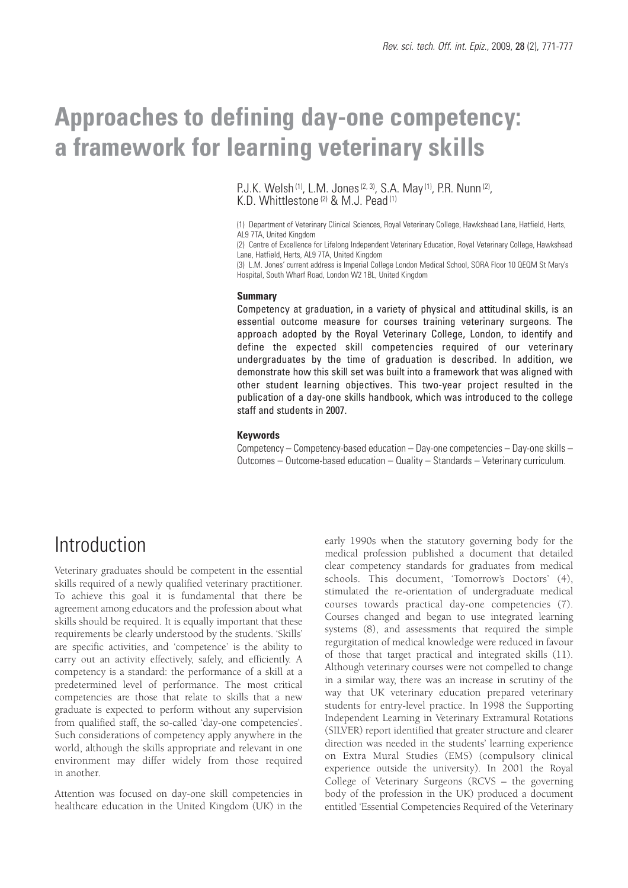# **Approaches to defining day-one competency: a framework for learning veterinary skills**

P.J.K. Welsh <sup>(1)</sup>, L.M. Jones <sup>(2, 3)</sup>, S.A. May <sup>(1)</sup>, P.R. Nunn <sup>(2)</sup>, K.D. Whittlestone <sup>(2)</sup> & M.J. Pead <sup>(1)</sup>

(1) Department of Veterinary Clinical Sciences, Royal Veterinary College, Hawkshead Lane, Hatfield, Herts, AL9 7TA, United Kingdom

(2) Centre of Excellence for Lifelong Independent Veterinary Education, Royal Veterinary College, Hawkshead Lane, Hatfield, Herts, AL9 7TA, United Kingdom

(3) L.M. Jones' current address is Imperial College London Medical School, SORA Floor 10 QEQM St Mary's Hospital, South Wharf Road, London W2 1BL, United Kingdom

#### **Summary**

Competency at graduation, in a variety of physical and attitudinal skills, is an essential outcome measure for courses training veterinary surgeons. The approach adopted by the Royal Veterinary College, London, to identify and define the expected skill competencies required of our veterinary undergraduates by the time of graduation is described. In addition, we demonstrate how this skill set was built into a framework that was aligned with other student learning objectives. This two-year project resulted in the publication of a day-one skills handbook, which was introduced to the college staff and students in 2007.

#### **Keywords**

Competency – Competency-based education – Day-one competencies – Day-one skills – Outcomes – Outcome-based education – Quality – Standards – Veterinary curriculum.

## Introduction

Veterinary graduates should be competent in the essential skills required of a newly qualified veterinary practitioner. To achieve this goal it is fundamental that there be agreement among educators and the profession about what skills should be required. It is equally important that these requirements be clearly understood by the students. 'Skills' are specific activities, and 'competence' is the ability to carry out an activity effectively, safely, and efficiently. A competency is a standard: the performance of a skill at a predetermined level of performance. The most critical competencies are those that relate to skills that a new graduate is expected to perform without any supervision from qualified staff, the so-called 'day-one competencies'. Such considerations of competency apply anywhere in the world, although the skills appropriate and relevant in one environment may differ widely from those required in another.

Attention was focused on day-one skill competencies in healthcare education in the United Kingdom (UK) in the

early 1990s when the statutory governing body for the medical profession published a document that detailed clear competency standards for graduates from medical schools. This document, 'Tomorrow's Doctors' (4), stimulated the re-orientation of undergraduate medical courses towards practical day-one competencies (7). Courses changed and began to use integrated learning systems (8), and assessments that required the simple regurgitation of medical knowledge were reduced in favour of those that target practical and integrated skills (11). Although veterinary courses were not compelled to change in a similar way, there was an increase in scrutiny of the way that UK veterinary education prepared veterinary students for entry-level practice. In 1998 the Supporting Independent Learning in Veterinary Extramural Rotations (SILVER) report identified that greater structure and clearer direction was needed in the students' learning experience on Extra Mural Studies (EMS) (compulsory clinical experience outside the university). In 2001 the Royal College of Veterinary Surgeons (RCVS – the governing body of the profession in the UK) produced a document entitled 'Essential Competencies Required of the Veterinary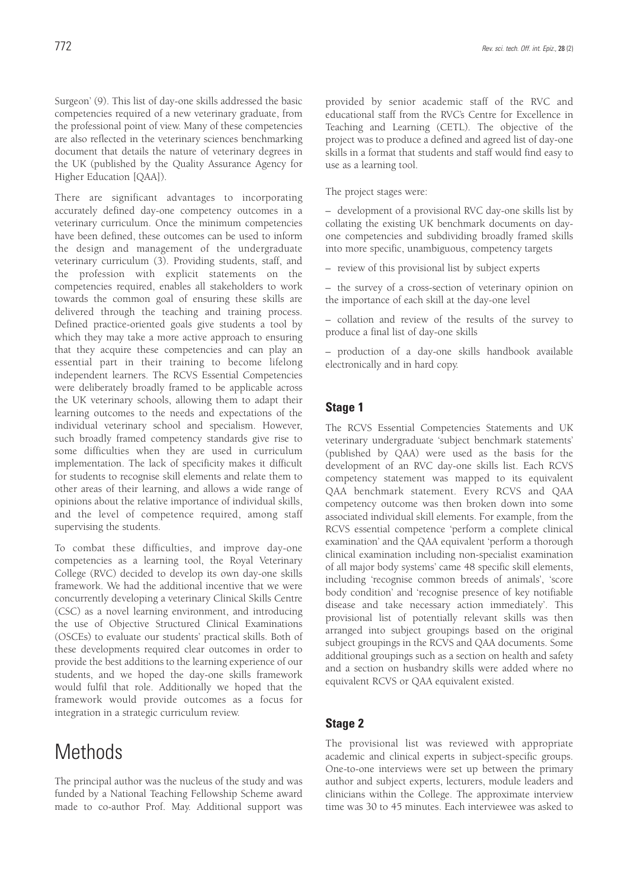Surgeon' (9). This list of day-one skills addressed the basic competencies required of a new veterinary graduate, from the professional point of view. Many of these competencies are also reflected in the veterinary sciences benchmarking document that details the nature of veterinary degrees in the UK (published by the Quality Assurance Agency for Higher Education [QAA]).

There are significant advantages to incorporating accurately defined day-one competency outcomes in a veterinary curriculum. Once the minimum competencies have been defined, these outcomes can be used to inform the design and management of the undergraduate veterinary curriculum (3). Providing students, staff, and the profession with explicit statements on the competencies required, enables all stakeholders to work towards the common goal of ensuring these skills are delivered through the teaching and training process. Defined practice-oriented goals give students a tool by which they may take a more active approach to ensuring that they acquire these competencies and can play an essential part in their training to become lifelong independent learners. The RCVS Essential Competencies were deliberately broadly framed to be applicable across the UK veterinary schools, allowing them to adapt their learning outcomes to the needs and expectations of the individual veterinary school and specialism. However, such broadly framed competency standards give rise to some difficulties when they are used in curriculum implementation. The lack of specificity makes it difficult for students to recognise skill elements and relate them to other areas of their learning, and allows a wide range of opinions about the relative importance of individual skills, and the level of competence required, among staff supervising the students.

To combat these difficulties, and improve day-one competencies as a learning tool, the Royal Veterinary College (RVC) decided to develop its own day-one skills framework. We had the additional incentive that we were concurrently developing a veterinary Clinical Skills Centre (CSC) as a novel learning environment, and introducing the use of Objective Structured Clinical Examinations (OSCEs) to evaluate our students' practical skills. Both of these developments required clear outcomes in order to provide the best additions to the learning experience of our students, and we hoped the day-one skills framework would fulfil that role. Additionally we hoped that the framework would provide outcomes as a focus for integration in a strategic curriculum review.

## **Methods**

The principal author was the nucleus of the study and was funded by a National Teaching Fellowship Scheme award made to co-author Prof. May. Additional support was

provided by senior academic staff of the RVC and educational staff from the RVC's Centre for Excellence in Teaching and Learning (CETL). The objective of the project was to produce a defined and agreed list of day-one skills in a format that students and staff would find easy to use as a learning tool.

The project stages were:

– development of a provisional RVC day-one skills list by collating the existing UK benchmark documents on dayone competencies and subdividing broadly framed skills into more specific, unambiguous, competency targets

– review of this provisional list by subject experts

– the survey of a cross-section of veterinary opinion on the importance of each skill at the day-one level

– collation and review of the results of the survey to produce a final list of day-one skills

– production of a day-one skills handbook available electronically and in hard copy.

### **Stage 1**

The RCVS Essential Competencies Statements and UK veterinary undergraduate 'subject benchmark statements' (published by QAA) were used as the basis for the development of an RVC day-one skills list. Each RCVS competency statement was mapped to its equivalent QAA benchmark statement. Every RCVS and QAA competency outcome was then broken down into some associated individual skill elements. For example, from the RCVS essential competence 'perform a complete clinical examination' and the QAA equivalent 'perform a thorough clinical examination including non-specialist examination of all major body systems' came 48 specific skill elements, including 'recognise common breeds of animals', 'score body condition' and 'recognise presence of key notifiable disease and take necessary action immediately'. This provisional list of potentially relevant skills was then arranged into subject groupings based on the original subject groupings in the RCVS and QAA documents. Some additional groupings such as a section on health and safety and a section on husbandry skills were added where no equivalent RCVS or QAA equivalent existed.

### **Stage 2**

The provisional list was reviewed with appropriate academic and clinical experts in subject-specific groups. One-to-one interviews were set up between the primary author and subject experts, lecturers, module leaders and clinicians within the College. The approximate interview time was 30 to 45 minutes. Each interviewee was asked to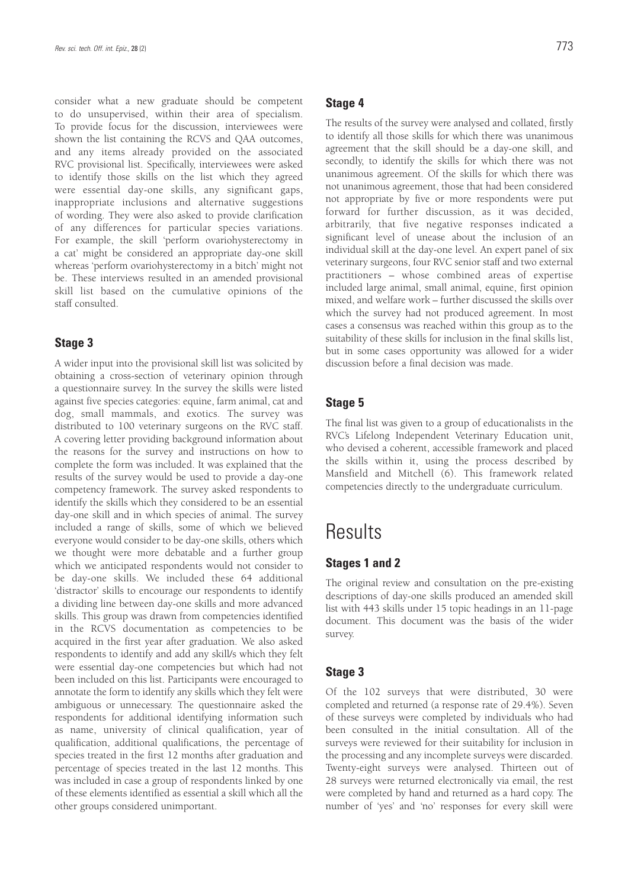consider what a new graduate should be competent to do unsupervised, within their area of specialism. To provide focus for the discussion, interviewees were shown the list containing the RCVS and QAA outcomes, and any items already provided on the associated RVC provisional list. Specifically, interviewees were asked to identify those skills on the list which they agreed were essential day-one skills, any significant gaps, inappropriate inclusions and alternative suggestions of wording. They were also asked to provide clarification of any differences for particular species variations. For example, the skill 'perform ovariohysterectomy in a cat' might be considered an appropriate day-one skill whereas 'perform ovariohysterectomy in a bitch' might not be. These interviews resulted in an amended provisional skill list based on the cumulative opinions of the staff consulted.

#### **Stage 3**

A wider input into the provisional skill list was solicited by obtaining a cross-section of veterinary opinion through a questionnaire survey. In the survey the skills were listed against five species categories: equine, farm animal, cat and dog, small mammals, and exotics. The survey was distributed to 100 veterinary surgeons on the RVC staff. A covering letter providing background information about the reasons for the survey and instructions on how to complete the form was included. It was explained that the results of the survey would be used to provide a day-one competency framework. The survey asked respondents to identify the skills which they considered to be an essential day-one skill and in which species of animal. The survey included a range of skills, some of which we believed everyone would consider to be day-one skills, others which we thought were more debatable and a further group which we anticipated respondents would not consider to be day-one skills. We included these 64 additional 'distractor' skills to encourage our respondents to identify a dividing line between day-one skills and more advanced skills. This group was drawn from competencies identified in the RCVS documentation as competencies to be acquired in the first year after graduation. We also asked respondents to identify and add any skill/s which they felt were essential day-one competencies but which had not been included on this list. Participants were encouraged to annotate the form to identify any skills which they felt were ambiguous or unnecessary. The questionnaire asked the respondents for additional identifying information such as name, university of clinical qualification, year of qualification, additional qualifications, the percentage of species treated in the first 12 months after graduation and percentage of species treated in the last 12 months. This was included in case a group of respondents linked by one of these elements identified as essential a skill which all the other groups considered unimportant.

### **Stage 4**

The results of the survey were analysed and collated, firstly to identify all those skills for which there was unanimous agreement that the skill should be a day-one skill, and secondly, to identify the skills for which there was not unanimous agreement. Of the skills for which there was not unanimous agreement, those that had been considered not appropriate by five or more respondents were put forward for further discussion, as it was decided, arbitrarily, that five negative responses indicated a significant level of unease about the inclusion of an individual skill at the day-one level. An expert panel of six veterinary surgeons, four RVC senior staff and two external practitioners – whose combined areas of expertise included large animal, small animal, equine, first opinion mixed, and welfare work – further discussed the skills over which the survey had not produced agreement. In most cases a consensus was reached within this group as to the suitability of these skills for inclusion in the final skills list, but in some cases opportunity was allowed for a wider discussion before a final decision was made.

### **Stage 5**

The final list was given to a group of educationalists in the RVC's Lifelong Independent Veterinary Education unit, who devised a coherent, accessible framework and placed the skills within it, using the process described by Mansfield and Mitchell (6). This framework related competencies directly to the undergraduate curriculum.

## **Results**

### **Stages 1 and 2**

The original review and consultation on the pre-existing descriptions of day-one skills produced an amended skill list with 443 skills under 15 topic headings in an 11-page document. This document was the basis of the wider survey.

### **Stage 3**

Of the 102 surveys that were distributed, 30 were completed and returned (a response rate of 29.4%). Seven of these surveys were completed by individuals who had been consulted in the initial consultation. All of the surveys were reviewed for their suitability for inclusion in the processing and any incomplete surveys were discarded. Twenty-eight surveys were analysed. Thirteen out of 28 surveys were returned electronically via email, the rest were completed by hand and returned as a hard copy. The number of 'yes' and 'no' responses for every skill were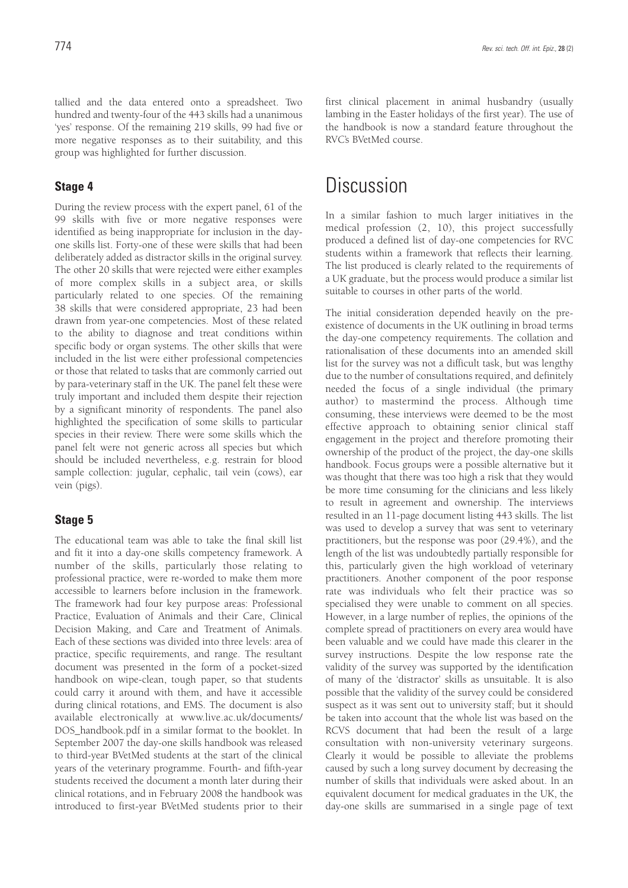tallied and the data entered onto a spreadsheet. Two hundred and twenty-four of the 443 skills had a unanimous 'yes' response. Of the remaining 219 skills, 99 had five or more negative responses as to their suitability, and this group was highlighted for further discussion.

### **Stage 4**

During the review process with the expert panel, 61 of the 99 skills with five or more negative responses were identified as being inappropriate for inclusion in the dayone skills list. Forty-one of these were skills that had been deliberately added as distractor skills in the original survey. The other 20 skills that were rejected were either examples of more complex skills in a subject area, or skills particularly related to one species. Of the remaining 38 skills that were considered appropriate, 23 had been drawn from year-one competencies. Most of these related to the ability to diagnose and treat conditions within specific body or organ systems. The other skills that were included in the list were either professional competencies or those that related to tasks that are commonly carried out by para-veterinary staff in the UK. The panel felt these were truly important and included them despite their rejection by a significant minority of respondents. The panel also highlighted the specification of some skills to particular species in their review. There were some skills which the panel felt were not generic across all species but which should be included nevertheless, e.g. restrain for blood sample collection: jugular, cephalic, tail vein (cows), ear vein (pigs).

### **Stage 5**

The educational team was able to take the final skill list and fit it into a day-one skills competency framework. A number of the skills, particularly those relating to professional practice, were re-worded to make them more accessible to learners before inclusion in the framework. The framework had four key purpose areas: Professional Practice, Evaluation of Animals and their Care, Clinical Decision Making, and Care and Treatment of Animals. Each of these sections was divided into three levels: area of practice, specific requirements, and range. The resultant document was presented in the form of a pocket-sized handbook on wipe-clean, tough paper, so that students could carry it around with them, and have it accessible during clinical rotations, and EMS. The document is also available electronically at www.live.ac.uk/documents/ DOS\_handbook.pdf in a similar format to the booklet. In September 2007 the day-one skills handbook was released to third-year BVetMed students at the start of the clinical years of the veterinary programme. Fourth- and fifth-year students received the document a month later during their clinical rotations, and in February 2008 the handbook was introduced to first-year BVetMed students prior to their first clinical placement in animal husbandry (usually lambing in the Easter holidays of the first year). The use of the handbook is now a standard feature throughout the RVC's BVetMed course.

## **Discussion**

In a similar fashion to much larger initiatives in the medical profession (2, 10), this project successfully produced a defined list of day-one competencies for RVC students within a framework that reflects their learning. The list produced is clearly related to the requirements of a UK graduate, but the process would produce a similar list suitable to courses in other parts of the world.

The initial consideration depended heavily on the preexistence of documents in the UK outlining in broad terms the day-one competency requirements. The collation and rationalisation of these documents into an amended skill list for the survey was not a difficult task, but was lengthy due to the number of consultations required, and definitely needed the focus of a single individual (the primary author) to mastermind the process. Although time consuming, these interviews were deemed to be the most effective approach to obtaining senior clinical staff engagement in the project and therefore promoting their ownership of the product of the project, the day-one skills handbook. Focus groups were a possible alternative but it was thought that there was too high a risk that they would be more time consuming for the clinicians and less likely to result in agreement and ownership. The interviews resulted in an 11-page document listing 443 skills. The list was used to develop a survey that was sent to veterinary practitioners, but the response was poor (29.4%), and the length of the list was undoubtedly partially responsible for this, particularly given the high workload of veterinary practitioners. Another component of the poor response rate was individuals who felt their practice was so specialised they were unable to comment on all species. However, in a large number of replies, the opinions of the complete spread of practitioners on every area would have been valuable and we could have made this clearer in the survey instructions. Despite the low response rate the validity of the survey was supported by the identification of many of the 'distractor' skills as unsuitable. It is also possible that the validity of the survey could be considered suspect as it was sent out to university staff; but it should be taken into account that the whole list was based on the RCVS document that had been the result of a large consultation with non-university veterinary surgeons. Clearly it would be possible to alleviate the problems caused by such a long survey document by decreasing the number of skills that individuals were asked about. In an equivalent document for medical graduates in the UK, the day-one skills are summarised in a single page of text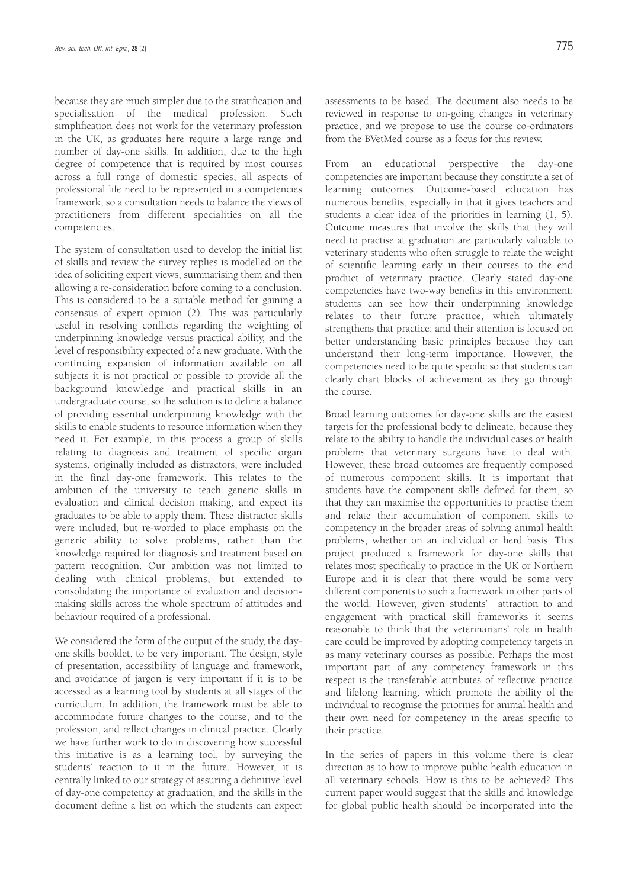because they are much simpler due to the stratification and specialisation of the medical profession. Such simplification does not work for the veterinary profession in the UK, as graduates here require a large range and number of day-one skills. In addition, due to the high degree of competence that is required by most courses across a full range of domestic species, all aspects of professional life need to be represented in a competencies framework, so a consultation needs to balance the views of practitioners from different specialities on all the competencies.

The system of consultation used to develop the initial list of skills and review the survey replies is modelled on the idea of soliciting expert views, summarising them and then allowing a re-consideration before coming to a conclusion. This is considered to be a suitable method for gaining a consensus of expert opinion (2). This was particularly useful in resolving conflicts regarding the weighting of underpinning knowledge versus practical ability, and the level of responsibility expected of a new graduate. With the continuing expansion of information available on all subjects it is not practical or possible to provide all the background knowledge and practical skills in an undergraduate course, so the solution is to define a balance of providing essential underpinning knowledge with the skills to enable students to resource information when they need it. For example, in this process a group of skills relating to diagnosis and treatment of specific organ systems, originally included as distractors, were included in the final day-one framework. This relates to the ambition of the university to teach generic skills in evaluation and clinical decision making, and expect its graduates to be able to apply them. These distractor skills were included, but re-worded to place emphasis on the generic ability to solve problems, rather than the knowledge required for diagnosis and treatment based on pattern recognition. Our ambition was not limited to dealing with clinical problems, but extended to consolidating the importance of evaluation and decisionmaking skills across the whole spectrum of attitudes and behaviour required of a professional.

We considered the form of the output of the study, the dayone skills booklet, to be very important. The design, style of presentation, accessibility of language and framework, and avoidance of jargon is very important if it is to be accessed as a learning tool by students at all stages of the curriculum. In addition, the framework must be able to accommodate future changes to the course, and to the profession, and reflect changes in clinical practice. Clearly we have further work to do in discovering how successful this initiative is as a learning tool, by surveying the students' reaction to it in the future. However, it is centrally linked to our strategy of assuring a definitive level of day-one competency at graduation, and the skills in the document define a list on which the students can expect assessments to be based. The document also needs to be reviewed in response to on-going changes in veterinary practice, and we propose to use the course co-ordinators from the BVetMed course as a focus for this review.

From an educational perspective the day-one competencies are important because they constitute a set of learning outcomes. Outcome-based education has numerous benefits, especially in that it gives teachers and students a clear idea of the priorities in learning (1, 5). Outcome measures that involve the skills that they will need to practise at graduation are particularly valuable to veterinary students who often struggle to relate the weight of scientific learning early in their courses to the end product of veterinary practice. Clearly stated day-one competencies have two-way benefits in this environment: students can see how their underpinning knowledge relates to their future practice, which ultimately strengthens that practice; and their attention is focused on better understanding basic principles because they can understand their long-term importance. However, the competencies need to be quite specific so that students can clearly chart blocks of achievement as they go through the course.

Broad learning outcomes for day-one skills are the easiest targets for the professional body to delineate, because they relate to the ability to handle the individual cases or health problems that veterinary surgeons have to deal with. However, these broad outcomes are frequently composed of numerous component skills. It is important that students have the component skills defined for them, so that they can maximise the opportunities to practise them and relate their accumulation of component skills to competency in the broader areas of solving animal health problems, whether on an individual or herd basis. This project produced a framework for day-one skills that relates most specifically to practice in the UK or Northern Europe and it is clear that there would be some very different components to such a framework in other parts of the world. However, given students' attraction to and engagement with practical skill frameworks it seems reasonable to think that the veterinarians' role in health care could be improved by adopting competency targets in as many veterinary courses as possible. Perhaps the most important part of any competency framework in this respect is the transferable attributes of reflective practice and lifelong learning, which promote the ability of the individual to recognise the priorities for animal health and their own need for competency in the areas specific to their practice.

In the series of papers in this volume there is clear direction as to how to improve public health education in all veterinary schools. How is this to be achieved? This current paper would suggest that the skills and knowledge for global public health should be incorporated into the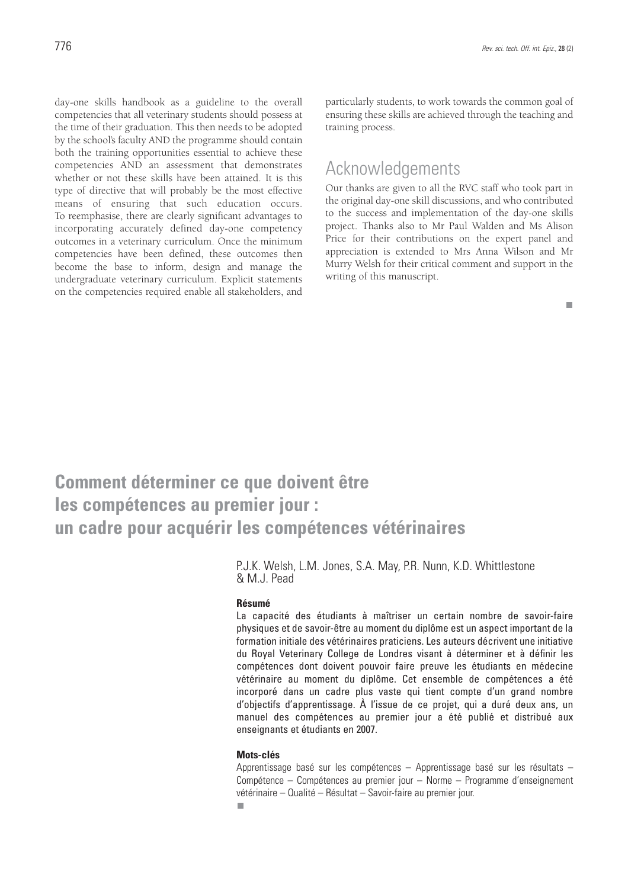day-one skills handbook as a guideline to the overall competencies that all veterinary students should possess at the time of their graduation. This then needs to be adopted by the school's faculty AND the programme should contain both the training opportunities essential to achieve these competencies AND an assessment that demonstrates whether or not these skills have been attained. It is this type of directive that will probably be the most effective means of ensuring that such education occurs. To reemphasise, there are clearly significant advantages to incorporating accurately defined day-one competency outcomes in a veterinary curriculum. Once the minimum competencies have been defined, these outcomes then become the base to inform, design and manage the undergraduate veterinary curriculum. Explicit statements on the competencies required enable all stakeholders, and

particularly students, to work towards the common goal of ensuring these skills are achieved through the teaching and training process.

### Acknowledgements

Our thanks are given to all the RVC staff who took part in the original day-one skill discussions, and who contributed to the success and implementation of the day-one skills project. Thanks also to Mr Paul Walden and Ms Alison Price for their contributions on the expert panel and appreciation is extended to Mrs Anna Wilson and Mr Murry Welsh for their critical comment and support in the writing of this manuscript.

#### $\mathbf{r}$

## **Comment déterminer ce que doivent être les compétences au premier jour : un cadre pour acquérir les compétences vétérinaires**

P.J.K. Welsh, L.M. Jones, S.A. May, P.R. Nunn, K.D. Whittlestone & M.J. Pead

#### **Résumé**

La capacité des étudiants à maîtriser un certain nombre de savoir-faire physiques et de savoir-être au moment du diplôme est un aspect important de la formation initiale des vétérinaires praticiens. Les auteurs décrivent une initiative du Royal Veterinary College de Londres visant à déterminer et à définir les compétences dont doivent pouvoir faire preuve les étudiants en médecine vétérinaire au moment du diplôme. Cet ensemble de compétences a été incorporé dans un cadre plus vaste qui tient compte d'un grand nombre d'objectifs d'apprentissage. À l'issue de ce projet, qui a duré deux ans, un manuel des compétences au premier jour a été publié et distribué aux enseignants et étudiants en 2007.

#### **Mots-clés**

Apprentissage basé sur les compétences – Apprentissage basé sur les résultats – Compétence – Compétences au premier jour – Norme – Programme d'enseignement vétérinaire – Qualité – Résultat – Savoir-faire au premier jour.п